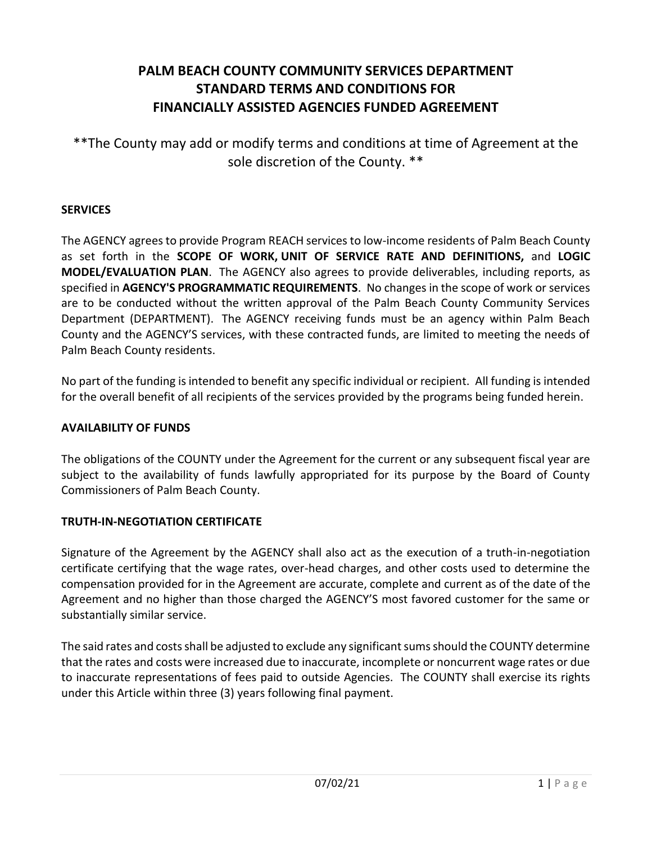# **PALM BEACH COUNTY COMMUNITY SERVICES DEPARTMENT STANDARD TERMS AND CONDITIONS FOR FINANCIALLY ASSISTED AGENCIES FUNDED AGREEMENT**

\*\*The County may add or modify terms and conditions at time of Agreement at the sole discretion of the County. \*\*

### **SERVICES**

The AGENCY agrees to provide Program REACH services to low-income residents of Palm Beach County as set forth in the **SCOPE OF WORK, UNIT OF SERVICE RATE AND DEFINITIONS,** and **LOGIC MODEL/EVALUATION PLAN**. The AGENCY also agrees to provide deliverables, including reports, as specified in **AGENCY'S PROGRAMMATIC REQUIREMENTS**. No changes in the scope of work or services are to be conducted without the written approval of the Palm Beach County Community Services Department (DEPARTMENT). The AGENCY receiving funds must be an agency within Palm Beach County and the AGENCY'S services, with these contracted funds, are limited to meeting the needs of Palm Beach County residents.

No part of the funding is intended to benefit any specific individual or recipient. All funding is intended for the overall benefit of all recipients of the services provided by the programs being funded herein.

### **AVAILABILITY OF FUNDS**

The obligations of the COUNTY under the Agreement for the current or any subsequent fiscal year are subject to the availability of funds lawfully appropriated for its purpose by the Board of County Commissioners of Palm Beach County.

## **TRUTH-IN-NEGOTIATION CERTIFICATE**

Signature of the Agreement by the AGENCY shall also act as the execution of a truth-in-negotiation certificate certifying that the wage rates, over-head charges, and other costs used to determine the compensation provided for in the Agreement are accurate, complete and current as of the date of the Agreement and no higher than those charged the AGENCY'S most favored customer for the same or substantially similar service.

The said rates and costs shall be adjusted to exclude any significant sums should the COUNTY determine that the rates and costs were increased due to inaccurate, incomplete or noncurrent wage rates or due to inaccurate representations of fees paid to outside Agencies. The COUNTY shall exercise its rights under this Article within three (3) years following final payment.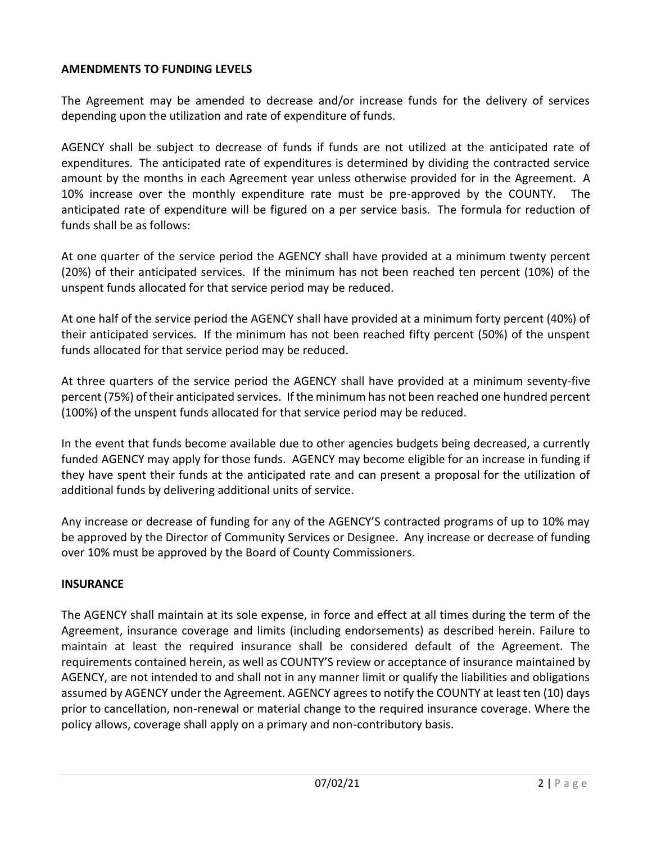#### **AMENDMENTS TO FUNDING LEVELS**

The Agreement may be amended to decrease and/or increase funds for the delivery of services depending upon the utilization and rate of expenditure of funds.

AGENCY shall be subject to decrease of funds if funds are not utilized at the anticipated rate of expenditures. The anticipated rate of expenditures is determined by dividing the contracted service amount by the months in each Agreement year unless otherwise provided for in the Agreement. A 10% increase over the monthly expenditure rate must be pre-approved by the COUNTY. anticipated rate of expenditure will be figured on a per service basis. The formula for reduction of funds shall be as follows:

At one quarter of the service period the AGENCY shall have provided at a minimum twenty percent (20%) of their anticipated services. If the minimum has not been reached ten percent (10%) of the unspent funds allocated for that service period may be reduced.

At one half of the service period the AGENCY shall have provided at a minimum forty percent (40%) of their anticipated services. If the minimum has not been reached fifty percent (50%) of the unspent funds allocated for that service period may be reduced.

At three quarters of the service period the AGENCY shall have provided at a minimum seventy-five percent (75%) of their anticipated services. If the minimum has not been reached one hundred percent (100%) of the unspent funds allocated for that service period may be reduced.

In the event that funds become available due to other agencies budgets being decreased, a currently funded AGENCY may apply for those funds. AGENCY may become eligible for an increase in funding if they have spent their funds at the anticipated rate and can present a proposal for the utilization of additional funds by delivering additional units of service.

Any increase or decrease of funding for any of the AGENCY'S contracted programs of up to 10% may be approved by the Director of Community Services or Designee. Any increase or decrease of funding over 10% must be approved by the Board of County Commissioners.

#### **INSURANCE**

The AGENCY shall maintain at its sole expense, in force and effect at all times during the term of the Agreement, insurance coverage and limits (including endorsements) as described herein. Failure to maintain at least the required insurance shall be considered default of the Agreement. The requirements contained herein, as well as COUNTY'S review or acceptance of insurance maintained by AGENCY, are not intended to and shall not in any manner limit or qualify the liabilities and obligations assumed by AGENCY under the Agreement. AGENCY agrees to notify the COUNTY at least ten (10) days prior to cancellation, non-renewal or material change to the required insurance coverage. Where the policy allows, coverage shall apply on a primary and non-contributory basis.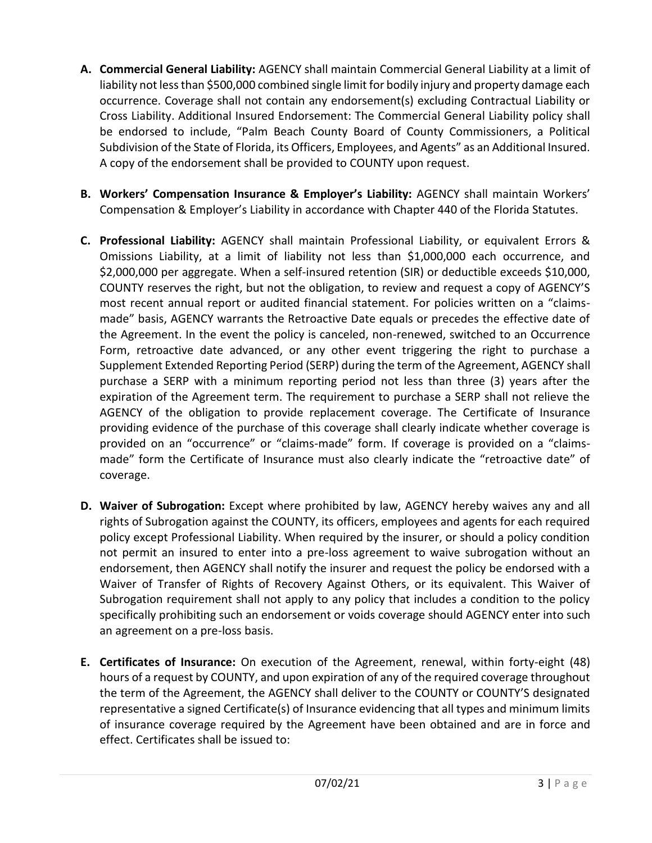- **A. Commercial General Liability:** AGENCY shall maintain Commercial General Liability at a limit of liability not less than \$500,000 combined single limit for bodily injury and property damage each occurrence. Coverage shall not contain any endorsement(s) excluding Contractual Liability or Cross Liability. Additional Insured Endorsement: The Commercial General Liability policy shall be endorsed to include, "Palm Beach County Board of County Commissioners, a Political Subdivision of the State of Florida, its Officers, Employees, and Agents" as an Additional Insured. A copy of the endorsement shall be provided to COUNTY upon request.
- **B. Workers' Compensation Insurance & Employer's Liability:** AGENCY shall maintain Workers' Compensation & Employer's Liability in accordance with Chapter 440 of the Florida Statutes.
- **C. Professional Liability:** AGENCY shall maintain Professional Liability, or equivalent Errors & Omissions Liability, at a limit of liability not less than \$1,000,000 each occurrence, and \$2,000,000 per aggregate. When a self-insured retention (SIR) or deductible exceeds \$10,000, COUNTY reserves the right, but not the obligation, to review and request a copy of AGENCY'S most recent annual report or audited financial statement. For policies written on a "claimsmade" basis, AGENCY warrants the Retroactive Date equals or precedes the effective date of the Agreement. In the event the policy is canceled, non-renewed, switched to an Occurrence Form, retroactive date advanced, or any other event triggering the right to purchase a Supplement Extended Reporting Period (SERP) during the term of the Agreement, AGENCY shall purchase a SERP with a minimum reporting period not less than three (3) years after the expiration of the Agreement term. The requirement to purchase a SERP shall not relieve the AGENCY of the obligation to provide replacement coverage. The Certificate of Insurance providing evidence of the purchase of this coverage shall clearly indicate whether coverage is provided on an "occurrence" or "claims-made" form. If coverage is provided on a "claimsmade" form the Certificate of Insurance must also clearly indicate the "retroactive date" of coverage.
- **D. Waiver of Subrogation:** Except where prohibited by law, AGENCY hereby waives any and all rights of Subrogation against the COUNTY, its officers, employees and agents for each required policy except Professional Liability. When required by the insurer, or should a policy condition not permit an insured to enter into a pre-loss agreement to waive subrogation without an endorsement, then AGENCY shall notify the insurer and request the policy be endorsed with a Waiver of Transfer of Rights of Recovery Against Others, or its equivalent. This Waiver of Subrogation requirement shall not apply to any policy that includes a condition to the policy specifically prohibiting such an endorsement or voids coverage should AGENCY enter into such an agreement on a pre-loss basis.
- **E. Certificates of Insurance:** On execution of the Agreement, renewal, within forty-eight (48) hours of a request by COUNTY, and upon expiration of any of the required coverage throughout the term of the Agreement, the AGENCY shall deliver to the COUNTY or COUNTY'S designated representative a signed Certificate(s) of Insurance evidencing that all types and minimum limits of insurance coverage required by the Agreement have been obtained and are in force and effect. Certificates shall be issued to: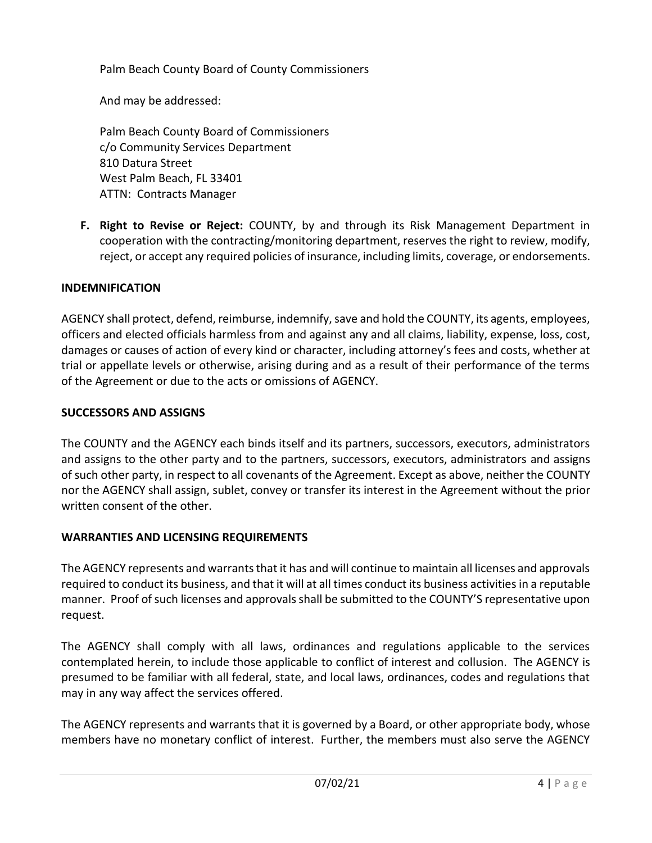Palm Beach County Board of County Commissioners

And may be addressed:

Palm Beach County Board of Commissioners c/o Community Services Department 810 Datura Street West Palm Beach, FL 33401 ATTN: Contracts Manager

**F. Right to Revise or Reject:** COUNTY, by and through its Risk Management Department in cooperation with the contracting/monitoring department, reserves the right to review, modify, reject, or accept any required policies of insurance, including limits, coverage, or endorsements.

### **INDEMNIFICATION**

AGENCY shall protect, defend, reimburse, indemnify, save and hold the COUNTY, its agents, employees, officers and elected officials harmless from and against any and all claims, liability, expense, loss, cost, damages or causes of action of every kind or character, including attorney's fees and costs, whether at trial or appellate levels or otherwise, arising during and as a result of their performance of the terms of the Agreement or due to the acts or omissions of AGENCY.

### **SUCCESSORS AND ASSIGNS**

The COUNTY and the AGENCY each binds itself and its partners, successors, executors, administrators and assigns to the other party and to the partners, successors, executors, administrators and assigns of such other party, in respect to all covenants of the Agreement. Except as above, neither the COUNTY nor the AGENCY shall assign, sublet, convey or transfer its interest in the Agreement without the prior written consent of the other.

#### **WARRANTIES AND LICENSING REQUIREMENTS**

The AGENCY represents and warrants that it has and will continue to maintain all licenses and approvals required to conduct its business, and that it will at all times conduct its business activities in a reputable manner. Proof of such licenses and approvals shall be submitted to the COUNTY'S representative upon request.

The AGENCY shall comply with all laws, ordinances and regulations applicable to the services contemplated herein, to include those applicable to conflict of interest and collusion. The AGENCY is presumed to be familiar with all federal, state, and local laws, ordinances, codes and regulations that may in any way affect the services offered.

The AGENCY represents and warrants that it is governed by a Board, or other appropriate body, whose members have no monetary conflict of interest. Further, the members must also serve the AGENCY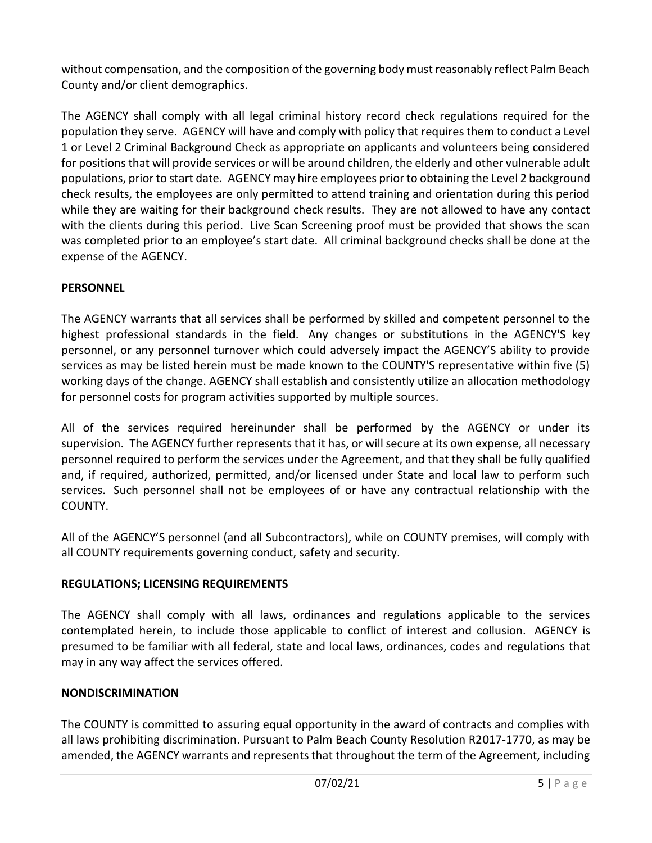without compensation, and the composition of the governing body must reasonably reflect Palm Beach County and/or client demographics.

The AGENCY shall comply with all legal criminal history record check regulations required for the population they serve. AGENCY will have and comply with policy that requires them to conduct a Level 1 or Level 2 Criminal Background Check as appropriate on applicants and volunteers being considered for positions that will provide services or will be around children, the elderly and other vulnerable adult populations, prior to start date. AGENCY may hire employees prior to obtaining the Level 2 background check results, the employees are only permitted to attend training and orientation during this period while they are waiting for their background check results. They are not allowed to have any contact with the clients during this period. Live Scan Screening proof must be provided that shows the scan was completed prior to an employee's start date. All criminal background checks shall be done at the expense of the AGENCY.

## **PERSONNEL**

The AGENCY warrants that all services shall be performed by skilled and competent personnel to the highest professional standards in the field. Any changes or substitutions in the AGENCY'S key personnel, or any personnel turnover which could adversely impact the AGENCY'S ability to provide services as may be listed herein must be made known to the COUNTY'S representative within five (5) working days of the change. AGENCY shall establish and consistently utilize an allocation methodology for personnel costs for program activities supported by multiple sources.

All of the services required hereinunder shall be performed by the AGENCY or under its supervision. The AGENCY further represents that it has, or will secure at its own expense, all necessary personnel required to perform the services under the Agreement, and that they shall be fully qualified and, if required, authorized, permitted, and/or licensed under State and local law to perform such services. Such personnel shall not be employees of or have any contractual relationship with the COUNTY.

All of the AGENCY'S personnel (and all Subcontractors), while on COUNTY premises, will comply with all COUNTY requirements governing conduct, safety and security.

## **REGULATIONS; LICENSING REQUIREMENTS**

The AGENCY shall comply with all laws, ordinances and regulations applicable to the services contemplated herein, to include those applicable to conflict of interest and collusion. AGENCY is presumed to be familiar with all federal, state and local laws, ordinances, codes and regulations that may in any way affect the services offered.

## **NONDISCRIMINATION**

The COUNTY is committed to assuring equal opportunity in the award of contracts and complies with all laws prohibiting discrimination. Pursuant to Palm Beach County Resolution R2017-1770, as may be amended, the AGENCY warrants and represents that throughout the term of the Agreement, including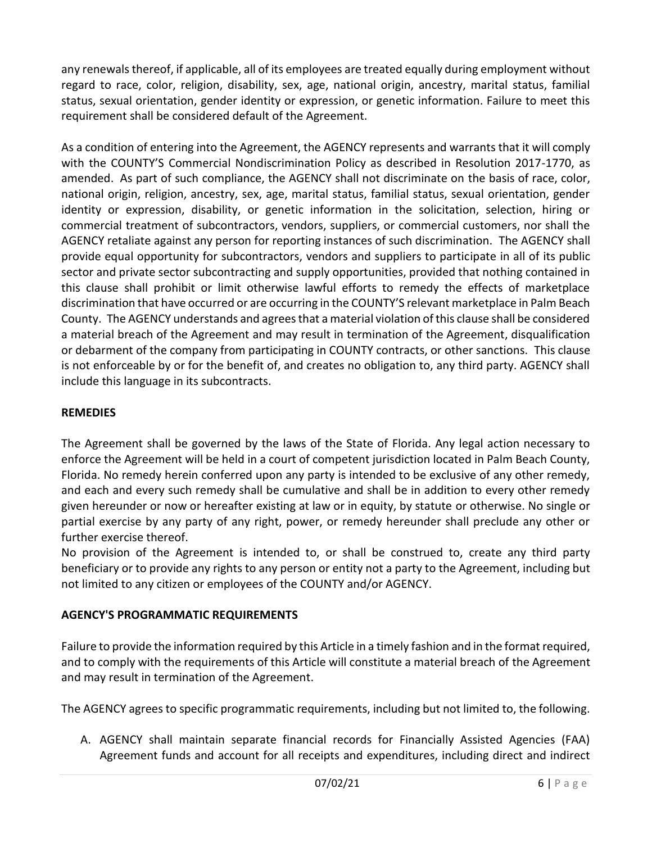any renewals thereof, if applicable, all of its employees are treated equally during employment without regard to race, color, religion, disability, sex, age, national origin, ancestry, marital status, familial status, sexual orientation, gender identity or expression, or genetic information. Failure to meet this requirement shall be considered default of the Agreement.

As a condition of entering into the Agreement, the AGENCY represents and warrants that it will comply with the COUNTY'S Commercial Nondiscrimination Policy as described in Resolution 2017-1770, as amended. As part of such compliance, the AGENCY shall not discriminate on the basis of race, color, national origin, religion, ancestry, sex, age, marital status, familial status, sexual orientation, gender identity or expression, disability, or genetic information in the solicitation, selection, hiring or commercial treatment of subcontractors, vendors, suppliers, or commercial customers, nor shall the AGENCY retaliate against any person for reporting instances of such discrimination. The AGENCY shall provide equal opportunity for subcontractors, vendors and suppliers to participate in all of its public sector and private sector subcontracting and supply opportunities, provided that nothing contained in this clause shall prohibit or limit otherwise lawful efforts to remedy the effects of marketplace discrimination that have occurred or are occurring in the COUNTY'S relevant marketplace in Palm Beach County. The AGENCY understands and agrees that a material violation of this clause shall be considered a material breach of the Agreement and may result in termination of the Agreement, disqualification or debarment of the company from participating in COUNTY contracts, or other sanctions. This clause is not enforceable by or for the benefit of, and creates no obligation to, any third party. AGENCY shall include this language in its subcontracts.

# **REMEDIES**

The Agreement shall be governed by the laws of the State of Florida. Any legal action necessary to enforce the Agreement will be held in a court of competent jurisdiction located in Palm Beach County, Florida. No remedy herein conferred upon any party is intended to be exclusive of any other remedy, and each and every such remedy shall be cumulative and shall be in addition to every other remedy given hereunder or now or hereafter existing at law or in equity, by statute or otherwise. No single or partial exercise by any party of any right, power, or remedy hereunder shall preclude any other or further exercise thereof.

No provision of the Agreement is intended to, or shall be construed to, create any third party beneficiary or to provide any rights to any person or entity not a party to the Agreement, including but not limited to any citizen or employees of the COUNTY and/or AGENCY.

# **AGENCY'S PROGRAMMATIC REQUIREMENTS**

Failure to provide the information required by this Article in a timely fashion and in the format required, and to comply with the requirements of this Article will constitute a material breach of the Agreement and may result in termination of the Agreement.

The AGENCY agrees to specific programmatic requirements, including but not limited to, the following.

A. AGENCY shall maintain separate financial records for Financially Assisted Agencies (FAA) Agreement funds and account for all receipts and expenditures, including direct and indirect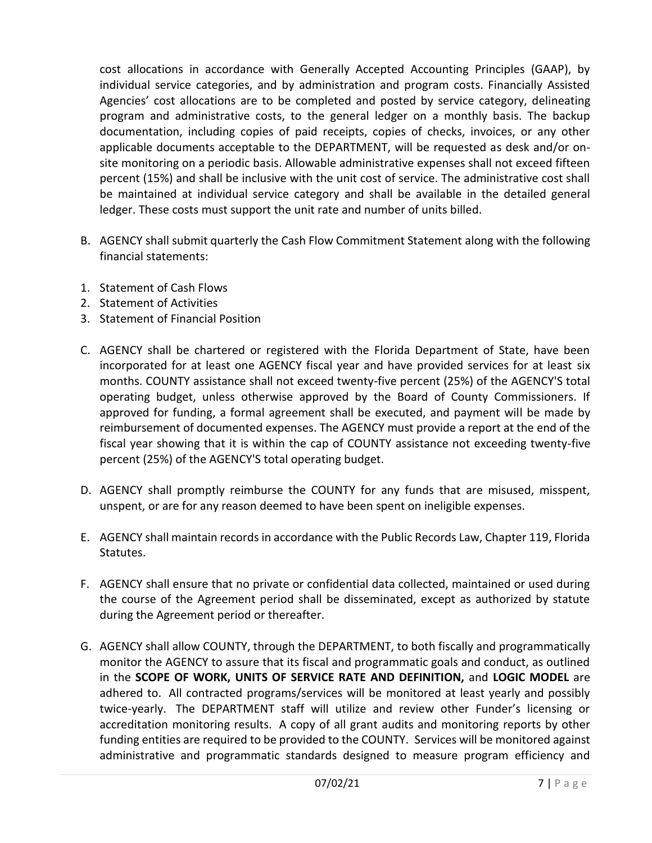cost allocations in accordance with Generally Accepted Accounting Principles (GAAP), by individual service categories, and by administration and program costs. Financially Assisted Agencies' cost allocations are to be completed and posted by service category, delineating program and administrative costs, to the general ledger on a monthly basis. The backup documentation, including copies of paid receipts, copies of checks, invoices, or any other applicable documents acceptable to the DEPARTMENT, will be requested as desk and/or onsite monitoring on a periodic basis. Allowable administrative expenses shall not exceed fifteen percent (15%) and shall be inclusive with the unit cost of service. The administrative cost shall be maintained at individual service category and shall be available in the detailed general ledger. These costs must support the unit rate and number of units billed.

- B. AGENCY shall submit quarterly the Cash Flow Commitment Statement along with the following financial statements:
- 1. Statement of Cash Flows
- 2. Statement of Activities
- 3. Statement of Financial Position
- C. AGENCY shall be chartered or registered with the Florida Department of State, have been incorporated for at least one AGENCY fiscal year and have provided services for at least six months. COUNTY assistance shall not exceed twenty-five percent (25%) of the AGENCY'S total operating budget, unless otherwise approved by the Board of County Commissioners. If approved for funding, a formal agreement shall be executed, and payment will be made by reimbursement of documented expenses. The AGENCY must provide a report at the end of the fiscal year showing that it is within the cap of COUNTY assistance not exceeding twenty-five percent (25%) of the AGENCY'S total operating budget.
- D. AGENCY shall promptly reimburse the COUNTY for any funds that are misused, misspent, unspent, or are for any reason deemed to have been spent on ineligible expenses.
- E. AGENCY shall maintain records in accordance with the Public Records Law, Chapter 119, Florida Statutes.
- F. AGENCY shall ensure that no private or confidential data collected, maintained or used during the course of the Agreement period shall be disseminated, except as authorized by statute during the Agreement period or thereafter.
- G. AGENCY shall allow COUNTY, through the DEPARTMENT, to both fiscally and programmatically monitor the AGENCY to assure that its fiscal and programmatic goals and conduct, as outlined in the **SCOPE OF WORK, UNITS OF SERVICE RATE AND DEFINITION,** and **LOGIC MODEL** are adhered to. All contracted programs/services will be monitored at least yearly and possibly twice-yearly. The DEPARTMENT staff will utilize and review other Funder's licensing or accreditation monitoring results. A copy of all grant audits and monitoring reports by other funding entities are required to be provided to the COUNTY. Services will be monitored against administrative and programmatic standards designed to measure program efficiency and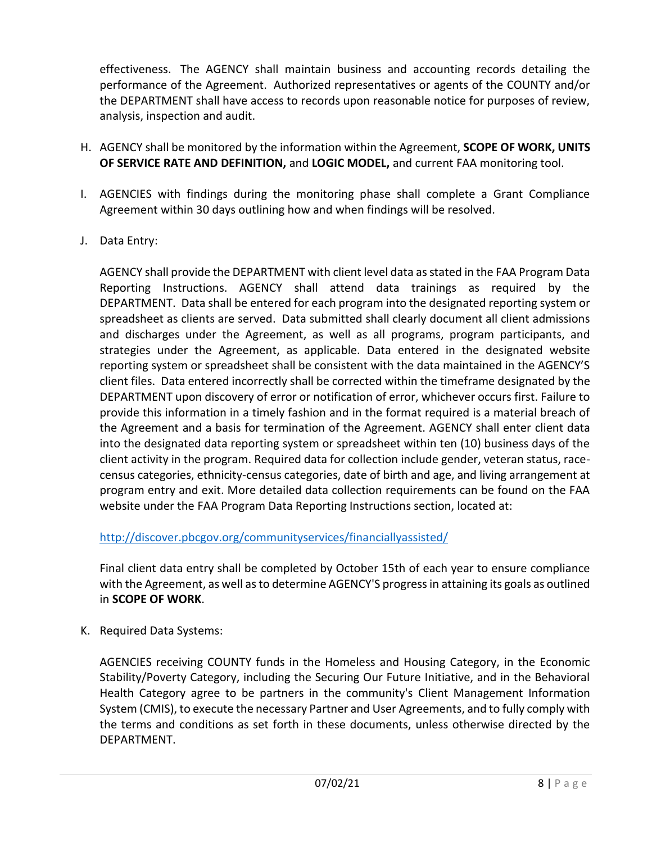effectiveness. The AGENCY shall maintain business and accounting records detailing the performance of the Agreement. Authorized representatives or agents of the COUNTY and/or the DEPARTMENT shall have access to records upon reasonable notice for purposes of review, analysis, inspection and audit.

- H. AGENCY shall be monitored by the information within the Agreement, **SCOPE OF WORK, UNITS OF SERVICE RATE AND DEFINITION,** and **LOGIC MODEL,** and current FAA monitoring tool.
- I. AGENCIES with findings during the monitoring phase shall complete a Grant Compliance Agreement within 30 days outlining how and when findings will be resolved.
- J. Data Entry:

AGENCY shall provide the DEPARTMENT with client level data as stated in the FAA Program Data Reporting Instructions. AGENCY shall attend data trainings as required by the DEPARTMENT. Data shall be entered for each program into the designated reporting system or spreadsheet as clients are served. Data submitted shall clearly document all client admissions and discharges under the Agreement, as well as all programs, program participants, and strategies under the Agreement, as applicable. Data entered in the designated website reporting system or spreadsheet shall be consistent with the data maintained in the AGENCY'S client files. Data entered incorrectly shall be corrected within the timeframe designated by the DEPARTMENT upon discovery of error or notification of error, whichever occurs first. Failure to provide this information in a timely fashion and in the format required is a material breach of the Agreement and a basis for termination of the Agreement. AGENCY shall enter client data into the designated data reporting system or spreadsheet within ten (10) business days of the client activity in the program. Required data for collection include gender, veteran status, racecensus categories, ethnicity-census categories, date of birth and age, and living arrangement at program entry and exit. More detailed data collection requirements can be found on the FAA website under the FAA Program Data Reporting Instructions section, located at:

<http://discover.pbcgov.org/communityservices/financiallyassisted/>

Final client data entry shall be completed by October 15th of each year to ensure compliance with the Agreement, as well as to determine AGENCY'S progress in attaining its goals as outlined in **SCOPE OF WORK**.

K. Required Data Systems:

AGENCIES receiving COUNTY funds in the Homeless and Housing Category, in the Economic Stability/Poverty Category, including the Securing Our Future Initiative, and in the Behavioral Health Category agree to be partners in the community's Client Management Information System (CMIS), to execute the necessary Partner and User Agreements, and to fully comply with the terms and conditions as set forth in these documents, unless otherwise directed by the DEPARTMENT.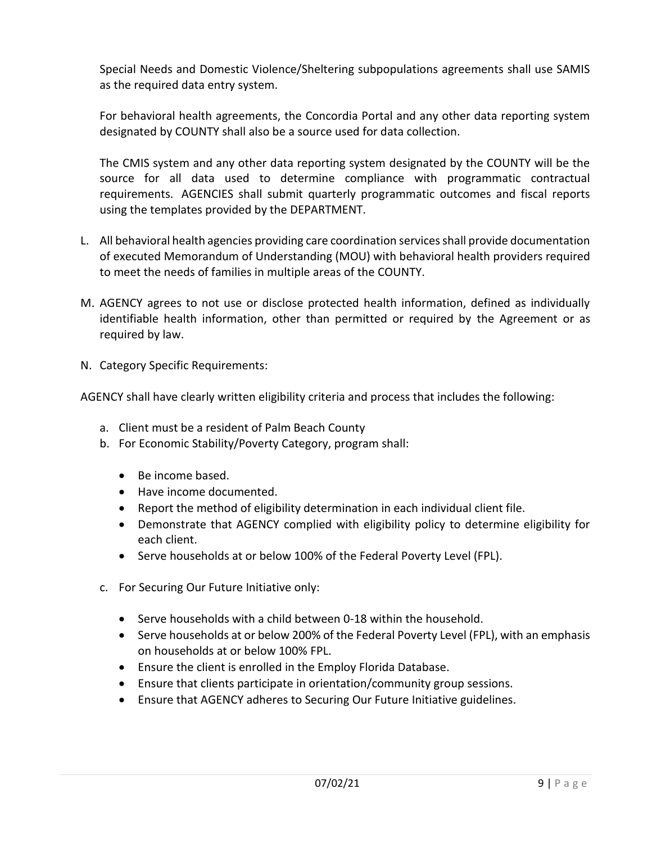Special Needs and Domestic Violence/Sheltering subpopulations agreements shall use SAMIS as the required data entry system.

For behavioral health agreements, the Concordia Portal and any other data reporting system designated by COUNTY shall also be a source used for data collection.

The CMIS system and any other data reporting system designated by the COUNTY will be the source for all data used to determine compliance with programmatic contractual requirements. AGENCIES shall submit quarterly programmatic outcomes and fiscal reports using the templates provided by the DEPARTMENT.

- L. All behavioral health agencies providing care coordination services shall provide documentation of executed Memorandum of Understanding (MOU) with behavioral health providers required to meet the needs of families in multiple areas of the COUNTY.
- M. AGENCY agrees to not use or disclose protected health information, defined as individually identifiable health information, other than permitted or required by the Agreement or as required by law.
- N. Category Specific Requirements:

AGENCY shall have clearly written eligibility criteria and process that includes the following:

- a. Client must be a resident of Palm Beach County
- b. For Economic Stability/Poverty Category, program shall:
	- Be income based.
	- Have income documented.
	- Report the method of eligibility determination in each individual client file.
	- Demonstrate that AGENCY complied with eligibility policy to determine eligibility for each client.
	- Serve households at or below 100% of the Federal Poverty Level (FPL).
- c. For Securing Our Future Initiative only:
	- Serve households with a child between 0-18 within the household.
	- Serve households at or below 200% of the Federal Poverty Level (FPL), with an emphasis on households at or below 100% FPL.
	- Ensure the client is enrolled in the Employ Florida Database.
	- Ensure that clients participate in orientation/community group sessions.
	- Ensure that AGENCY adheres to Securing Our Future Initiative guidelines.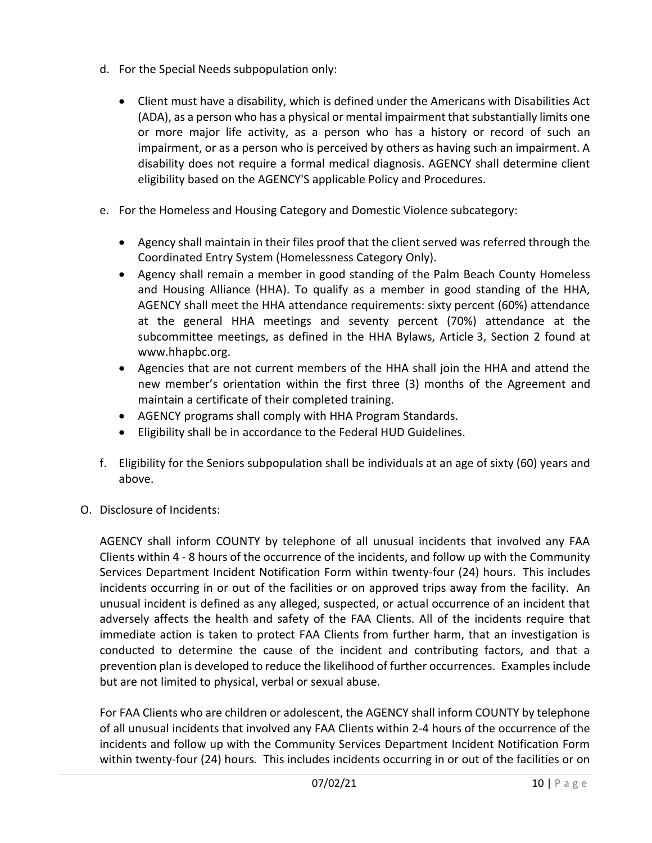- d. For the Special Needs subpopulation only:
	- Client must have a disability, which is defined under the Americans with Disabilities Act (ADA), as a person who has a physical or mental impairment that substantially limits one or more major life activity, as a person who has a history or record of such an impairment, or as a person who is perceived by others as having such an impairment. A disability does not require a formal medical diagnosis. AGENCY shall determine client eligibility based on the AGENCY'S applicable Policy and Procedures.
- e. For the Homeless and Housing Category and Domestic Violence subcategory:
	- Agency shall maintain in their files proof that the client served was referred through the Coordinated Entry System (Homelessness Category Only).
	- Agency shall remain a member in good standing of the Palm Beach County Homeless and Housing Alliance (HHA). To qualify as a member in good standing of the HHA, AGENCY shall meet the HHA attendance requirements: sixty percent (60%) attendance at the general HHA meetings and seventy percent (70%) attendance at the subcommittee meetings, as defined in the HHA Bylaws, Article 3, Section 2 found at www.hhapbc.org.
	- Agencies that are not current members of the HHA shall join the HHA and attend the new member's orientation within the first three (3) months of the Agreement and maintain a certificate of their completed training.
	- AGENCY programs shall comply with HHA Program Standards.
	- Eligibility shall be in accordance to the Federal HUD Guidelines.
- f. Eligibility for the Seniors subpopulation shall be individuals at an age of sixty (60) years and above.
- O. Disclosure of Incidents:

AGENCY shall inform COUNTY by telephone of all unusual incidents that involved any FAA Clients within 4 - 8 hours of the occurrence of the incidents, and follow up with the Community Services Department Incident Notification Form within twenty-four (24) hours. This includes incidents occurring in or out of the facilities or on approved trips away from the facility. An unusual incident is defined as any alleged, suspected, or actual occurrence of an incident that adversely affects the health and safety of the FAA Clients. All of the incidents require that immediate action is taken to protect FAA Clients from further harm, that an investigation is conducted to determine the cause of the incident and contributing factors, and that a prevention plan is developed to reduce the likelihood of further occurrences. Examples include but are not limited to physical, verbal or sexual abuse.

For FAA Clients who are children or adolescent, the AGENCY shall inform COUNTY by telephone of all unusual incidents that involved any FAA Clients within 2-4 hours of the occurrence of the incidents and follow up with the Community Services Department Incident Notification Form within twenty-four (24) hours. This includes incidents occurring in or out of the facilities or on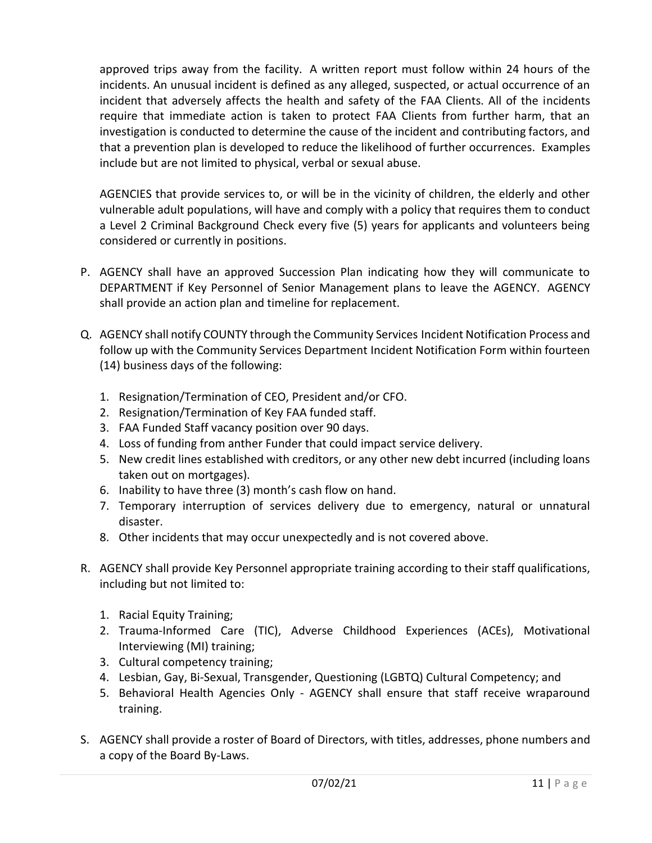approved trips away from the facility. A written report must follow within 24 hours of the incidents. An unusual incident is defined as any alleged, suspected, or actual occurrence of an incident that adversely affects the health and safety of the FAA Clients. All of the incidents require that immediate action is taken to protect FAA Clients from further harm, that an investigation is conducted to determine the cause of the incident and contributing factors, and that a prevention plan is developed to reduce the likelihood of further occurrences. Examples include but are not limited to physical, verbal or sexual abuse.

AGENCIES that provide services to, or will be in the vicinity of children, the elderly and other vulnerable adult populations, will have and comply with a policy that requires them to conduct a Level 2 Criminal Background Check every five (5) years for applicants and volunteers being considered or currently in positions.

- P. AGENCY shall have an approved Succession Plan indicating how they will communicate to DEPARTMENT if Key Personnel of Senior Management plans to leave the AGENCY. AGENCY shall provide an action plan and timeline for replacement.
- Q. AGENCY shall notify COUNTY through the Community Services Incident Notification Process and follow up with the Community Services Department Incident Notification Form within fourteen (14) business days of the following:
	- 1. Resignation/Termination of CEO, President and/or CFO.
	- 2. Resignation/Termination of Key FAA funded staff.
	- 3. FAA Funded Staff vacancy position over 90 days.
	- 4. Loss of funding from anther Funder that could impact service delivery.
	- 5. New credit lines established with creditors, or any other new debt incurred (including loans taken out on mortgages).
	- 6. Inability to have three (3) month's cash flow on hand.
	- 7. Temporary interruption of services delivery due to emergency, natural or unnatural disaster.
	- 8. Other incidents that may occur unexpectedly and is not covered above.
- R. AGENCY shall provide Key Personnel appropriate training according to their staff qualifications, including but not limited to:
	- 1. Racial Equity Training;
	- 2. Trauma-Informed Care (TIC), Adverse Childhood Experiences (ACEs), Motivational Interviewing (MI) training;
	- 3. Cultural competency training;
	- 4. Lesbian, Gay, Bi-Sexual, Transgender, Questioning (LGBTQ) Cultural Competency; and
	- 5. Behavioral Health Agencies Only AGENCY shall ensure that staff receive wraparound training.
- S. AGENCY shall provide a roster of Board of Directors, with titles, addresses, phone numbers and a copy of the Board By-Laws.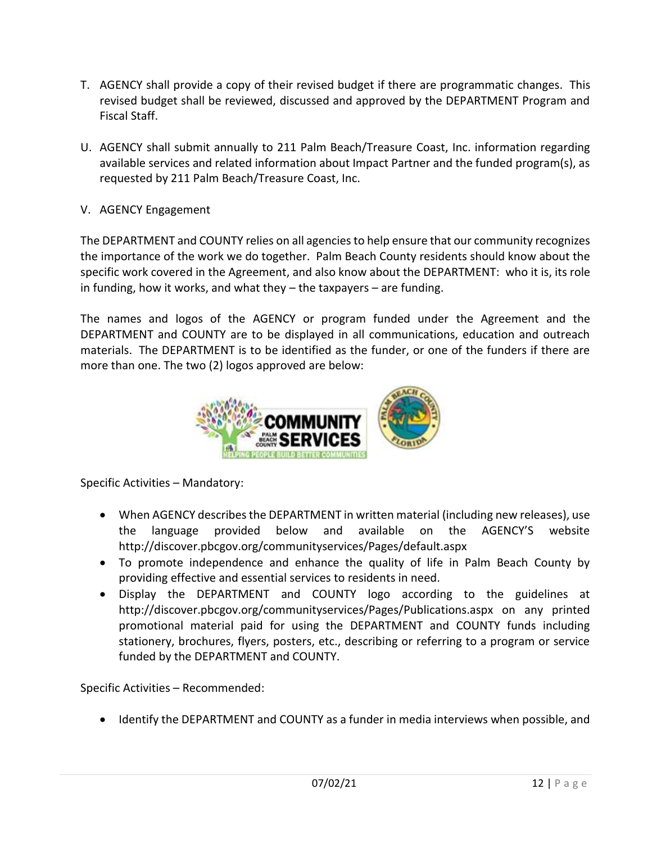- T. AGENCY shall provide a copy of their revised budget if there are programmatic changes. This revised budget shall be reviewed, discussed and approved by the DEPARTMENT Program and Fiscal Staff.
- U. AGENCY shall submit annually to 211 Palm Beach/Treasure Coast, Inc. information regarding available services and related information about Impact Partner and the funded program(s), as requested by 211 Palm Beach/Treasure Coast, Inc.
- V. AGENCY Engagement

The DEPARTMENT and COUNTY relies on all agencies to help ensure that our community recognizes the importance of the work we do together. Palm Beach County residents should know about the specific work covered in the Agreement, and also know about the DEPARTMENT: who it is, its role in funding, how it works, and what they – the taxpayers – are funding.

The names and logos of the AGENCY or program funded under the Agreement and the DEPARTMENT and COUNTY are to be displayed in all communications, education and outreach materials. The DEPARTMENT is to be identified as the funder, or one of the funders if there are more than one. The two (2) logos approved are below:



Specific Activities – Mandatory:

- When AGENCY describes the DEPARTMENT in written material (including new releases), use the language provided below and available on the AGENCY'S website http://discover.pbcgov.org/communityservices/Pages/default.aspx
- To promote independence and enhance the quality of life in Palm Beach County by providing effective and essential services to residents in need.
- Display the DEPARTMENT and COUNTY logo according to the guidelines at http://discover.pbcgov.org/communityservices/Pages/Publications.aspx on any printed promotional material paid for using the DEPARTMENT and COUNTY funds including stationery, brochures, flyers, posters, etc., describing or referring to a program or service funded by the DEPARTMENT and COUNTY.

Specific Activities – Recommended:

• Identify the DEPARTMENT and COUNTY as a funder in media interviews when possible, and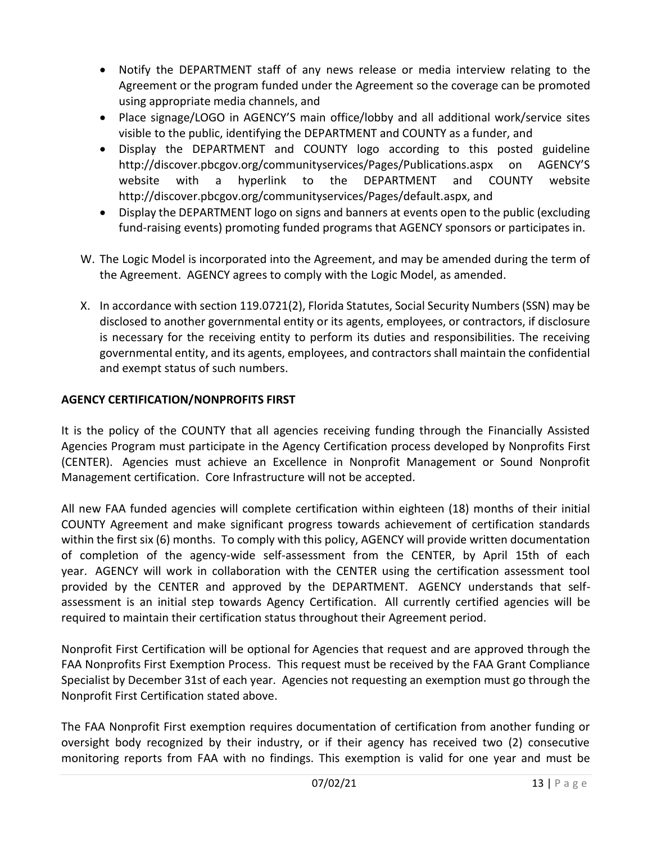- Notify the DEPARTMENT staff of any news release or media interview relating to the Agreement or the program funded under the Agreement so the coverage can be promoted using appropriate media channels, and
- Place signage/LOGO in AGENCY'S main office/lobby and all additional work/service sites visible to the public, identifying the DEPARTMENT and COUNTY as a funder, and
- Display the DEPARTMENT and COUNTY logo according to this posted guideline http://discover.pbcgov.org/communityservices/Pages/Publications.aspx on AGENCY'S website with a hyperlink to the DEPARTMENT and COUNTY website http://discover.pbcgov.org/communityservices/Pages/default.aspx, and
- Display the DEPARTMENT logo on signs and banners at events open to the public (excluding fund-raising events) promoting funded programs that AGENCY sponsors or participates in.
- W. The Logic Model is incorporated into the Agreement, and may be amended during the term of the Agreement. AGENCY agrees to comply with the Logic Model, as amended.
- X. In accordance with section 119.0721(2), Florida Statutes, Social Security Numbers (SSN) may be disclosed to another governmental entity or its agents, employees, or contractors, if disclosure is necessary for the receiving entity to perform its duties and responsibilities. The receiving governmental entity, and its agents, employees, and contractors shall maintain the confidential and exempt status of such numbers.

## **AGENCY CERTIFICATION/NONPROFITS FIRST**

It is the policy of the COUNTY that all agencies receiving funding through the Financially Assisted Agencies Program must participate in the Agency Certification process developed by Nonprofits First (CENTER). Agencies must achieve an Excellence in Nonprofit Management or Sound Nonprofit Management certification. Core Infrastructure will not be accepted.

All new FAA funded agencies will complete certification within eighteen (18) months of their initial COUNTY Agreement and make significant progress towards achievement of certification standards within the first six (6) months. To comply with this policy, AGENCY will provide written documentation of completion of the agency-wide self-assessment from the CENTER, by April 15th of each year. AGENCY will work in collaboration with the CENTER using the certification assessment tool provided by the CENTER and approved by the DEPARTMENT. AGENCY understands that selfassessment is an initial step towards Agency Certification. All currently certified agencies will be required to maintain their certification status throughout their Agreement period.

Nonprofit First Certification will be optional for Agencies that request and are approved through the FAA Nonprofits First Exemption Process. This request must be received by the FAA Grant Compliance Specialist by December 31st of each year. Agencies not requesting an exemption must go through the Nonprofit First Certification stated above.

The FAA Nonprofit First exemption requires documentation of certification from another funding or oversight body recognized by their industry, or if their agency has received two (2) consecutive monitoring reports from FAA with no findings. This exemption is valid for one year and must be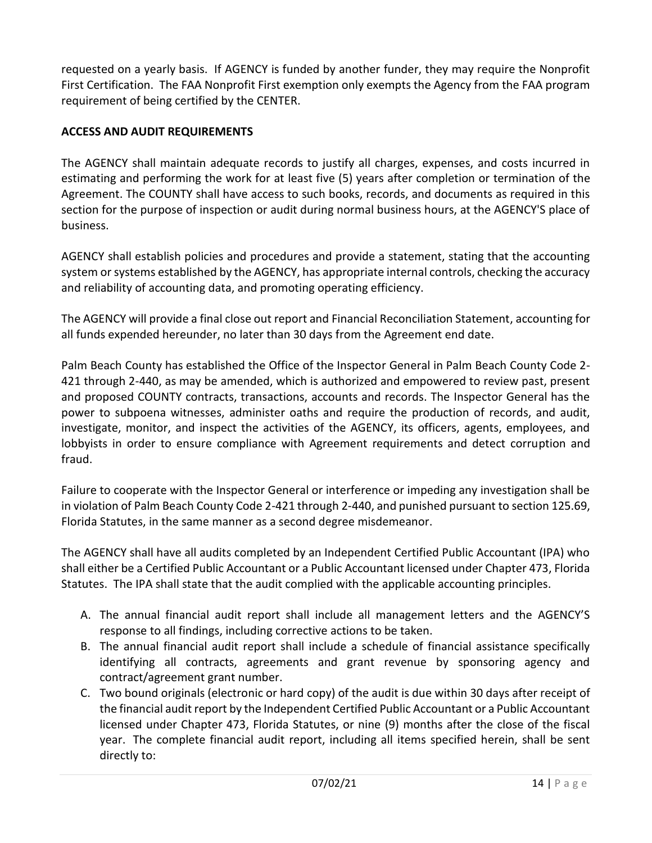requested on a yearly basis. If AGENCY is funded by another funder, they may require the Nonprofit First Certification. The FAA Nonprofit First exemption only exempts the Agency from the FAA program requirement of being certified by the CENTER.

## **ACCESS AND AUDIT REQUIREMENTS**

The AGENCY shall maintain adequate records to justify all charges, expenses, and costs incurred in estimating and performing the work for at least five (5) years after completion or termination of the Agreement. The COUNTY shall have access to such books, records, and documents as required in this section for the purpose of inspection or audit during normal business hours, at the AGENCY'S place of business.

AGENCY shall establish policies and procedures and provide a statement, stating that the accounting system or systems established by the AGENCY, has appropriate internal controls, checking the accuracy and reliability of accounting data, and promoting operating efficiency.

The AGENCY will provide a final close out report and Financial Reconciliation Statement, accounting for all funds expended hereunder, no later than 30 days from the Agreement end date.

Palm Beach County has established the Office of the Inspector General in Palm Beach County Code 2- 421 through 2-440, as may be amended, which is authorized and empowered to review past, present and proposed COUNTY contracts, transactions, accounts and records. The Inspector General has the power to subpoena witnesses, administer oaths and require the production of records, and audit, investigate, monitor, and inspect the activities of the AGENCY, its officers, agents, employees, and lobbyists in order to ensure compliance with Agreement requirements and detect corruption and fraud.

Failure to cooperate with the Inspector General or interference or impeding any investigation shall be in violation of Palm Beach County Code 2-421 through 2-440, and punished pursuant to section 125.69, Florida Statutes, in the same manner as a second degree misdemeanor.

The AGENCY shall have all audits completed by an Independent Certified Public Accountant (IPA) who shall either be a Certified Public Accountant or a Public Accountant licensed under Chapter 473, Florida Statutes. The IPA shall state that the audit complied with the applicable accounting principles.

- A. The annual financial audit report shall include all management letters and the AGENCY'S response to all findings, including corrective actions to be taken.
- B. The annual financial audit report shall include a schedule of financial assistance specifically identifying all contracts, agreements and grant revenue by sponsoring agency and contract/agreement grant number.
- C. Two bound originals (electronic or hard copy) of the audit is due within 30 days after receipt of the financial audit report by the Independent Certified Public Accountant or a Public Accountant licensed under Chapter 473, Florida Statutes, or nine (9) months after the close of the fiscal year. The complete financial audit report, including all items specified herein, shall be sent directly to: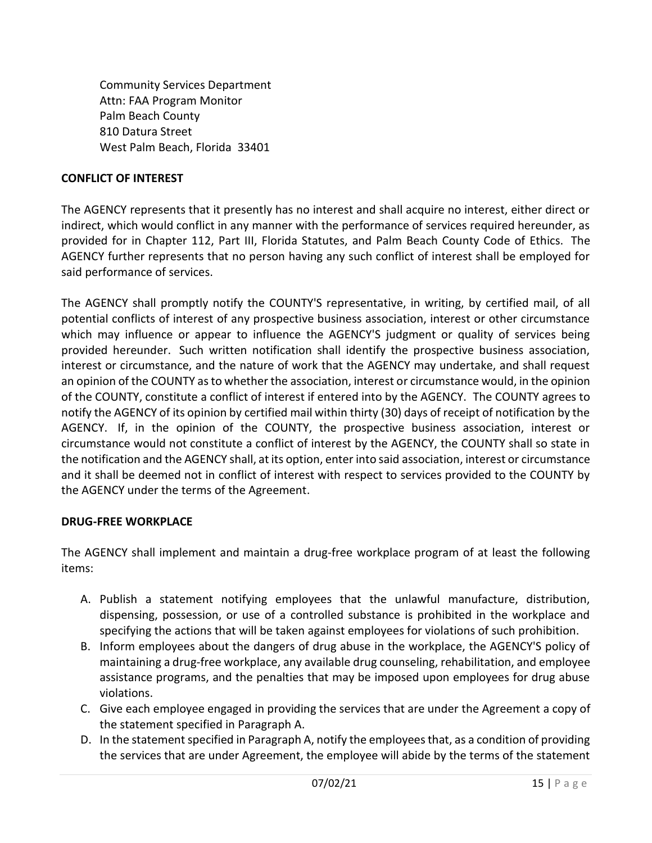Community Services Department Attn: FAA Program Monitor Palm Beach County 810 Datura Street West Palm Beach, Florida 33401

#### **CONFLICT OF INTEREST**

The AGENCY represents that it presently has no interest and shall acquire no interest, either direct or indirect, which would conflict in any manner with the performance of services required hereunder, as provided for in Chapter 112, Part III, Florida Statutes, and Palm Beach County Code of Ethics. The AGENCY further represents that no person having any such conflict of interest shall be employed for said performance of services.

The AGENCY shall promptly notify the COUNTY'S representative, in writing, by certified mail, of all potential conflicts of interest of any prospective business association, interest or other circumstance which may influence or appear to influence the AGENCY'S judgment or quality of services being provided hereunder. Such written notification shall identify the prospective business association, interest or circumstance, and the nature of work that the AGENCY may undertake, and shall request an opinion of the COUNTY as to whether the association, interest or circumstance would, in the opinion of the COUNTY, constitute a conflict of interest if entered into by the AGENCY. The COUNTY agrees to notify the AGENCY of its opinion by certified mail within thirty (30) days of receipt of notification by the AGENCY. If, in the opinion of the COUNTY, the prospective business association, interest or circumstance would not constitute a conflict of interest by the AGENCY, the COUNTY shall so state in the notification and the AGENCY shall, at its option, enter into said association, interest or circumstance and it shall be deemed not in conflict of interest with respect to services provided to the COUNTY by the AGENCY under the terms of the Agreement.

#### **DRUG-FREE WORKPLACE**

The AGENCY shall implement and maintain a drug-free workplace program of at least the following items:

- A. Publish a statement notifying employees that the unlawful manufacture, distribution, dispensing, possession, or use of a controlled substance is prohibited in the workplace and specifying the actions that will be taken against employees for violations of such prohibition.
- B. Inform employees about the dangers of drug abuse in the workplace, the AGENCY'S policy of maintaining a drug-free workplace, any available drug counseling, rehabilitation, and employee assistance programs, and the penalties that may be imposed upon employees for drug abuse violations.
- C. Give each employee engaged in providing the services that are under the Agreement a copy of the statement specified in Paragraph A.
- D. In the statement specified in Paragraph A, notify the employees that, as a condition of providing the services that are under Agreement, the employee will abide by the terms of the statement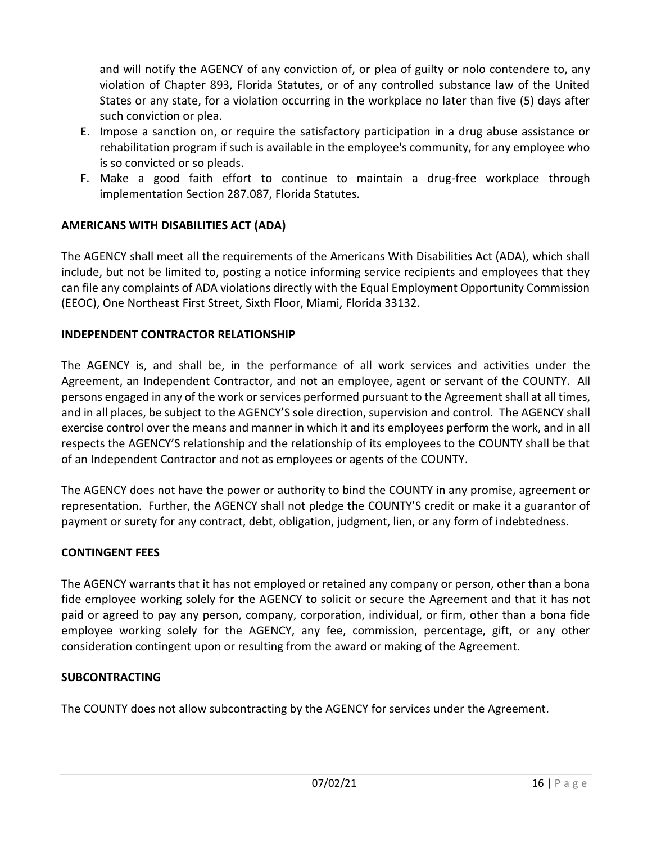and will notify the AGENCY of any conviction of, or plea of guilty or nolo contendere to, any violation of Chapter 893, Florida Statutes, or of any controlled substance law of the United States or any state, for a violation occurring in the workplace no later than five (5) days after such conviction or plea.

- E. Impose a sanction on, or require the satisfactory participation in a drug abuse assistance or rehabilitation program if such is available in the employee's community, for any employee who is so convicted or so pleads.
- F. Make a good faith effort to continue to maintain a drug-free workplace through implementation Section 287.087, Florida Statutes.

## **AMERICANS WITH DISABILITIES ACT (ADA)**

The AGENCY shall meet all the requirements of the Americans With Disabilities Act (ADA), which shall include, but not be limited to, posting a notice informing service recipients and employees that they can file any complaints of ADA violations directly with the Equal Employment Opportunity Commission (EEOC), One Northeast First Street, Sixth Floor, Miami, Florida 33132.

## **INDEPENDENT CONTRACTOR RELATIONSHIP**

The AGENCY is, and shall be, in the performance of all work services and activities under the Agreement, an Independent Contractor, and not an employee, agent or servant of the COUNTY. All persons engaged in any of the work or services performed pursuant to the Agreement shall at all times, and in all places, be subject to the AGENCY'S sole direction, supervision and control. The AGENCY shall exercise control over the means and manner in which it and its employees perform the work, and in all respects the AGENCY'S relationship and the relationship of its employees to the COUNTY shall be that of an Independent Contractor and not as employees or agents of the COUNTY.

The AGENCY does not have the power or authority to bind the COUNTY in any promise, agreement or representation. Further, the AGENCY shall not pledge the COUNTY'S credit or make it a guarantor of payment or surety for any contract, debt, obligation, judgment, lien, or any form of indebtedness.

## **CONTINGENT FEES**

The AGENCY warrants that it has not employed or retained any company or person, other than a bona fide employee working solely for the AGENCY to solicit or secure the Agreement and that it has not paid or agreed to pay any person, company, corporation, individual, or firm, other than a bona fide employee working solely for the AGENCY, any fee, commission, percentage, gift, or any other consideration contingent upon or resulting from the award or making of the Agreement.

## **SUBCONTRACTING**

The COUNTY does not allow subcontracting by the AGENCY for services under the Agreement.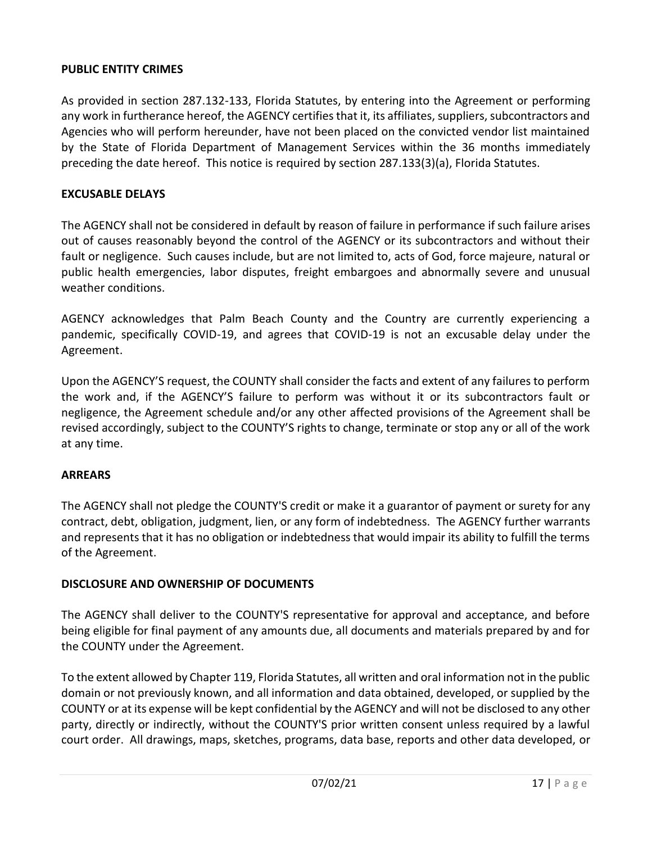#### **PUBLIC ENTITY CRIMES**

As provided in section 287.132-133, Florida Statutes, by entering into the Agreement or performing any work in furtherance hereof, the AGENCY certifies that it, its affiliates, suppliers, subcontractors and Agencies who will perform hereunder, have not been placed on the convicted vendor list maintained by the State of Florida Department of Management Services within the 36 months immediately preceding the date hereof. This notice is required by section 287.133(3)(a), Florida Statutes.

#### **EXCUSABLE DELAYS**

The AGENCY shall not be considered in default by reason of failure in performance if such failure arises out of causes reasonably beyond the control of the AGENCY or its subcontractors and without their fault or negligence. Such causes include, but are not limited to, acts of God, force majeure, natural or public health emergencies, labor disputes, freight embargoes and abnormally severe and unusual weather conditions.

AGENCY acknowledges that Palm Beach County and the Country are currently experiencing a pandemic, specifically COVID-19, and agrees that COVID-19 is not an excusable delay under the Agreement.

Upon the AGENCY'S request, the COUNTY shall consider the facts and extent of any failures to perform the work and, if the AGENCY'S failure to perform was without it or its subcontractors fault or negligence, the Agreement schedule and/or any other affected provisions of the Agreement shall be revised accordingly, subject to the COUNTY'S rights to change, terminate or stop any or all of the work at any time.

#### **ARREARS**

The AGENCY shall not pledge the COUNTY'S credit or make it a guarantor of payment or surety for any contract, debt, obligation, judgment, lien, or any form of indebtedness. The AGENCY further warrants and represents that it has no obligation or indebtedness that would impair its ability to fulfill the terms of the Agreement.

#### **DISCLOSURE AND OWNERSHIP OF DOCUMENTS**

The AGENCY shall deliver to the COUNTY'S representative for approval and acceptance, and before being eligible for final payment of any amounts due, all documents and materials prepared by and for the COUNTY under the Agreement.

To the extent allowed by Chapter 119, Florida Statutes, all written and oral information not in the public domain or not previously known, and all information and data obtained, developed, or supplied by the COUNTY or at its expense will be kept confidential by the AGENCY and will not be disclosed to any other party, directly or indirectly, without the COUNTY'S prior written consent unless required by a lawful court order. All drawings, maps, sketches, programs, data base, reports and other data developed, or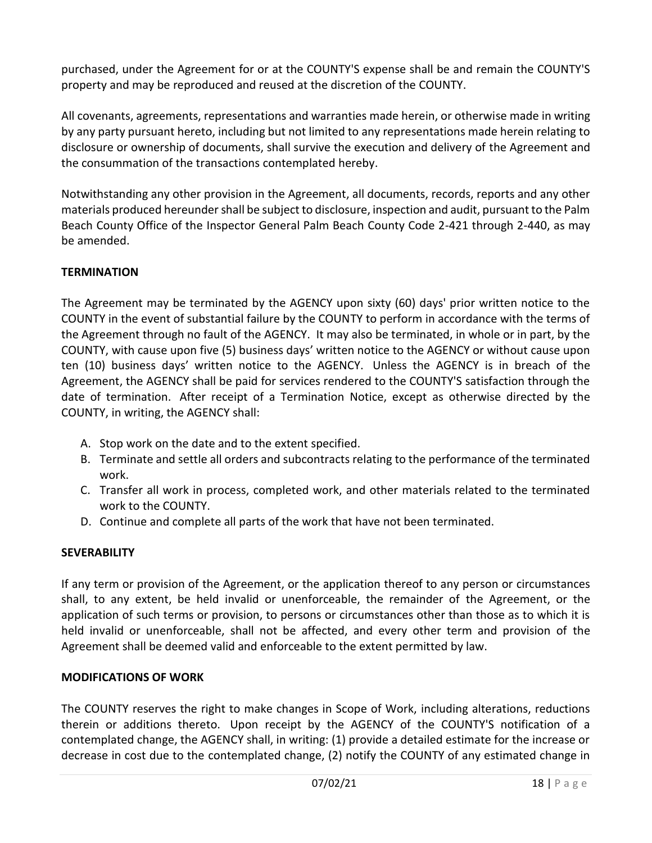purchased, under the Agreement for or at the COUNTY'S expense shall be and remain the COUNTY'S property and may be reproduced and reused at the discretion of the COUNTY.

All covenants, agreements, representations and warranties made herein, or otherwise made in writing by any party pursuant hereto, including but not limited to any representations made herein relating to disclosure or ownership of documents, shall survive the execution and delivery of the Agreement and the consummation of the transactions contemplated hereby.

Notwithstanding any other provision in the Agreement, all documents, records, reports and any other materials produced hereunder shall be subject to disclosure, inspection and audit, pursuant to the Palm Beach County Office of the Inspector General Palm Beach County Code 2-421 through 2-440, as may be amended.

## **TERMINATION**

The Agreement may be terminated by the AGENCY upon sixty (60) days' prior written notice to the COUNTY in the event of substantial failure by the COUNTY to perform in accordance with the terms of the Agreement through no fault of the AGENCY. It may also be terminated, in whole or in part, by the COUNTY, with cause upon five (5) business days' written notice to the AGENCY or without cause upon ten (10) business days' written notice to the AGENCY. Unless the AGENCY is in breach of the Agreement, the AGENCY shall be paid for services rendered to the COUNTY'S satisfaction through the date of termination. After receipt of a Termination Notice, except as otherwise directed by the COUNTY, in writing, the AGENCY shall:

- A. Stop work on the date and to the extent specified.
- B. Terminate and settle all orders and subcontracts relating to the performance of the terminated work.
- C. Transfer all work in process, completed work, and other materials related to the terminated work to the COUNTY.
- D. Continue and complete all parts of the work that have not been terminated.

## **SEVERABILITY**

If any term or provision of the Agreement, or the application thereof to any person or circumstances shall, to any extent, be held invalid or unenforceable, the remainder of the Agreement, or the application of such terms or provision, to persons or circumstances other than those as to which it is held invalid or unenforceable, shall not be affected, and every other term and provision of the Agreement shall be deemed valid and enforceable to the extent permitted by law.

## **MODIFICATIONS OF WORK**

The COUNTY reserves the right to make changes in Scope of Work, including alterations, reductions therein or additions thereto. Upon receipt by the AGENCY of the COUNTY'S notification of a contemplated change, the AGENCY shall, in writing: (1) provide a detailed estimate for the increase or decrease in cost due to the contemplated change, (2) notify the COUNTY of any estimated change in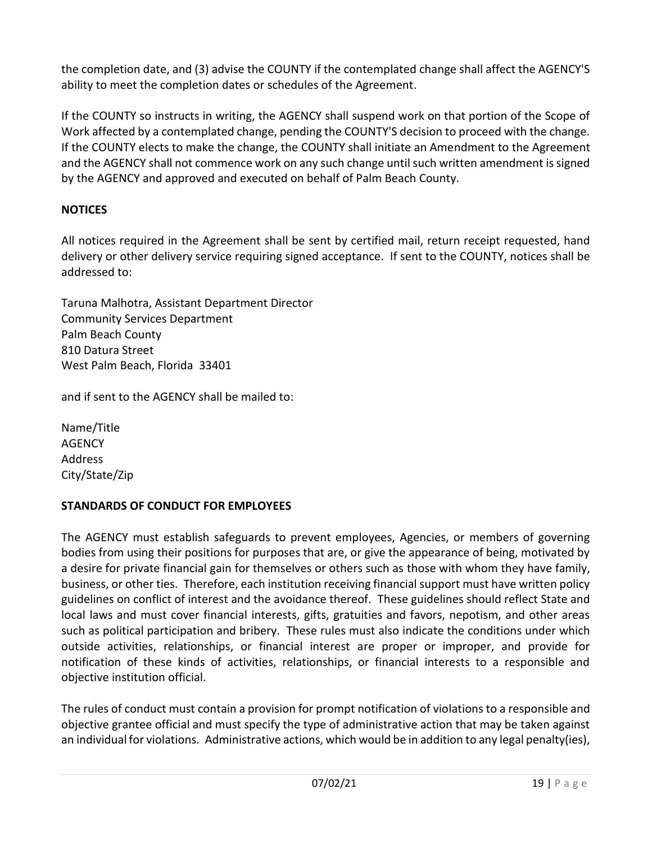the completion date, and (3) advise the COUNTY if the contemplated change shall affect the AGENCY'S ability to meet the completion dates or schedules of the Agreement.

If the COUNTY so instructs in writing, the AGENCY shall suspend work on that portion of the Scope of Work affected by a contemplated change, pending the COUNTY'S decision to proceed with the change. If the COUNTY elects to make the change, the COUNTY shall initiate an Amendment to the Agreement and the AGENCY shall not commence work on any such change until such written amendment is signed by the AGENCY and approved and executed on behalf of Palm Beach County.

## **NOTICES**

All notices required in the Agreement shall be sent by certified mail, return receipt requested, hand delivery or other delivery service requiring signed acceptance. If sent to the COUNTY, notices shall be addressed to:

Taruna Malhotra, Assistant Department Director Community Services Department Palm Beach County 810 Datura Street West Palm Beach, Florida 33401

and if sent to the AGENCY shall be mailed to:

Name/Title **AGENCY** Address City/State/Zip

## **STANDARDS OF CONDUCT FOR EMPLOYEES**

The AGENCY must establish safeguards to prevent employees, Agencies, or members of governing bodies from using their positions for purposes that are, or give the appearance of being, motivated by a desire for private financial gain for themselves or others such as those with whom they have family, business, or other ties. Therefore, each institution receiving financial support must have written policy guidelines on conflict of interest and the avoidance thereof. These guidelines should reflect State and local laws and must cover financial interests, gifts, gratuities and favors, nepotism, and other areas such as political participation and bribery. These rules must also indicate the conditions under which outside activities, relationships, or financial interest are proper or improper, and provide for notification of these kinds of activities, relationships, or financial interests to a responsible and objective institution official.

The rules of conduct must contain a provision for prompt notification of violations to a responsible and objective grantee official and must specify the type of administrative action that may be taken against an individual for violations. Administrative actions, which would be in addition to any legal penalty(ies),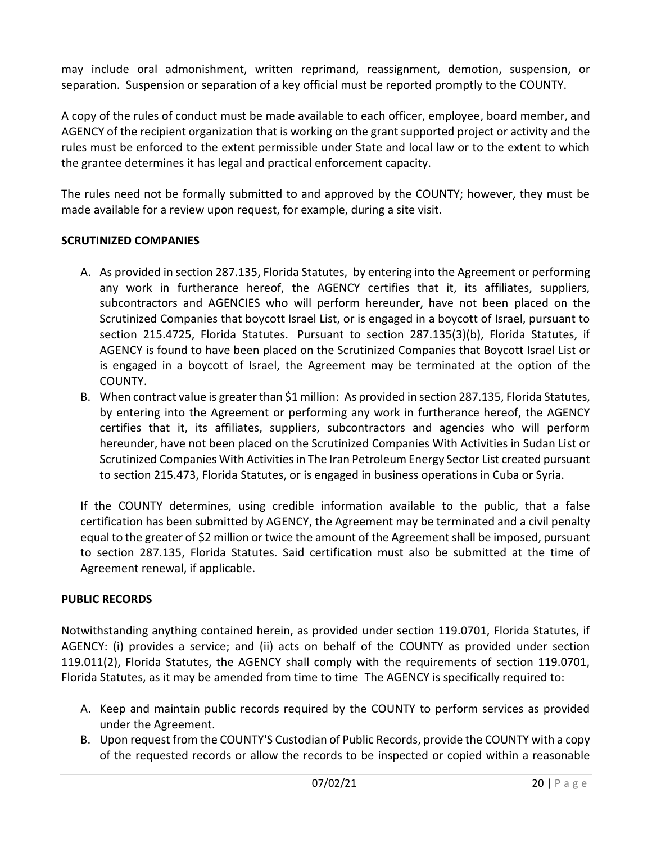may include oral admonishment, written reprimand, reassignment, demotion, suspension, or separation. Suspension or separation of a key official must be reported promptly to the COUNTY.

A copy of the rules of conduct must be made available to each officer, employee, board member, and AGENCY of the recipient organization that is working on the grant supported project or activity and the rules must be enforced to the extent permissible under State and local law or to the extent to which the grantee determines it has legal and practical enforcement capacity.

The rules need not be formally submitted to and approved by the COUNTY; however, they must be made available for a review upon request, for example, during a site visit.

## **SCRUTINIZED COMPANIES**

- A. As provided in section 287.135, Florida Statutes, by entering into the Agreement or performing any work in furtherance hereof, the AGENCY certifies that it, its affiliates, suppliers, subcontractors and AGENCIES who will perform hereunder, have not been placed on the Scrutinized Companies that boycott Israel List, or is engaged in a boycott of Israel, pursuant to section 215.4725, Florida Statutes. Pursuant to section 287.135(3)(b), Florida Statutes, if AGENCY is found to have been placed on the Scrutinized Companies that Boycott Israel List or is engaged in a boycott of Israel, the Agreement may be terminated at the option of the COUNTY.
- B. When contract value is greater than \$1 million: As provided in section 287.135, Florida Statutes, by entering into the Agreement or performing any work in furtherance hereof, the AGENCY certifies that it, its affiliates, suppliers, subcontractors and agencies who will perform hereunder, have not been placed on the Scrutinized Companies With Activities in Sudan List or Scrutinized Companies With Activities in The Iran Petroleum Energy Sector List created pursuant to section 215.473, Florida Statutes, or is engaged in business operations in Cuba or Syria.

If the COUNTY determines, using credible information available to the public, that a false certification has been submitted by AGENCY, the Agreement may be terminated and a civil penalty equal to the greater of \$2 million or twice the amount of the Agreement shall be imposed, pursuant to section 287.135, Florida Statutes. Said certification must also be submitted at the time of Agreement renewal, if applicable.

## **PUBLIC RECORDS**

Notwithstanding anything contained herein, as provided under section 119.0701, Florida Statutes, if AGENCY: (i) provides a service; and (ii) acts on behalf of the COUNTY as provided under section 119.011(2), Florida Statutes, the AGENCY shall comply with the requirements of section 119.0701, Florida Statutes, as it may be amended from time to time The AGENCY is specifically required to:

- A. Keep and maintain public records required by the COUNTY to perform services as provided under the Agreement.
- B. Upon request from the COUNTY'S Custodian of Public Records, provide the COUNTY with a copy of the requested records or allow the records to be inspected or copied within a reasonable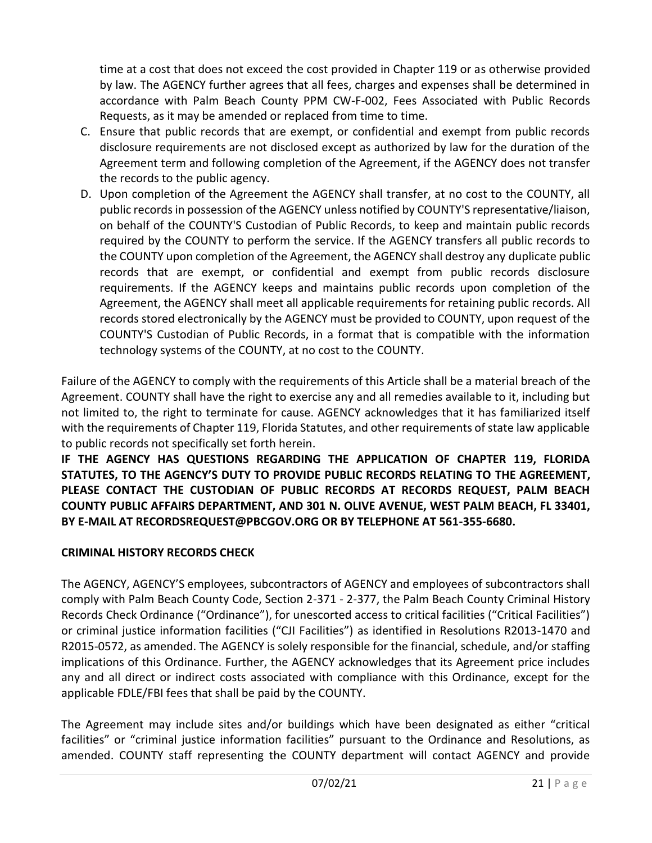time at a cost that does not exceed the cost provided in Chapter 119 or as otherwise provided by law. The AGENCY further agrees that all fees, charges and expenses shall be determined in accordance with Palm Beach County PPM CW-F-002, Fees Associated with Public Records Requests, as it may be amended or replaced from time to time.

- C. Ensure that public records that are exempt, or confidential and exempt from public records disclosure requirements are not disclosed except as authorized by law for the duration of the Agreement term and following completion of the Agreement, if the AGENCY does not transfer the records to the public agency.
- D. Upon completion of the Agreement the AGENCY shall transfer, at no cost to the COUNTY, all public records in possession of the AGENCY unless notified by COUNTY'S representative/liaison, on behalf of the COUNTY'S Custodian of Public Records, to keep and maintain public records required by the COUNTY to perform the service. If the AGENCY transfers all public records to the COUNTY upon completion of the Agreement, the AGENCY shall destroy any duplicate public records that are exempt, or confidential and exempt from public records disclosure requirements. If the AGENCY keeps and maintains public records upon completion of the Agreement, the AGENCY shall meet all applicable requirements for retaining public records. All records stored electronically by the AGENCY must be provided to COUNTY, upon request of the COUNTY'S Custodian of Public Records, in a format that is compatible with the information technology systems of the COUNTY, at no cost to the COUNTY.

Failure of the AGENCY to comply with the requirements of this Article shall be a material breach of the Agreement. COUNTY shall have the right to exercise any and all remedies available to it, including but not limited to, the right to terminate for cause. AGENCY acknowledges that it has familiarized itself with the requirements of Chapter 119, Florida Statutes, and other requirements of state law applicable to public records not specifically set forth herein.

**IF THE AGENCY HAS QUESTIONS REGARDING THE APPLICATION OF CHAPTER 119, FLORIDA STATUTES, TO THE AGENCY'S DUTY TO PROVIDE PUBLIC RECORDS RELATING TO THE AGREEMENT, PLEASE CONTACT THE CUSTODIAN OF PUBLIC RECORDS AT RECORDS REQUEST, PALM BEACH COUNTY PUBLIC AFFAIRS DEPARTMENT, AND 301 N. OLIVE AVENUE, WEST PALM BEACH, FL 33401, BY E-MAIL AT RECORDSREQUEST@PBCGOV.ORG OR BY TELEPHONE AT 561-355-6680.**

## **CRIMINAL HISTORY RECORDS CHECK**

The AGENCY, AGENCY'S employees, subcontractors of AGENCY and employees of subcontractors shall comply with Palm Beach County Code, Section 2-371 - 2-377, the Palm Beach County Criminal History Records Check Ordinance ("Ordinance"), for unescorted access to critical facilities ("Critical Facilities") or criminal justice information facilities ("CJI Facilities") as identified in Resolutions R2013-1470 and R2015-0572, as amended. The AGENCY is solely responsible for the financial, schedule, and/or staffing implications of this Ordinance. Further, the AGENCY acknowledges that its Agreement price includes any and all direct or indirect costs associated with compliance with this Ordinance, except for the applicable FDLE/FBI fees that shall be paid by the COUNTY.

The Agreement may include sites and/or buildings which have been designated as either "critical facilities" or "criminal justice information facilities" pursuant to the Ordinance and Resolutions, as amended. COUNTY staff representing the COUNTY department will contact AGENCY and provide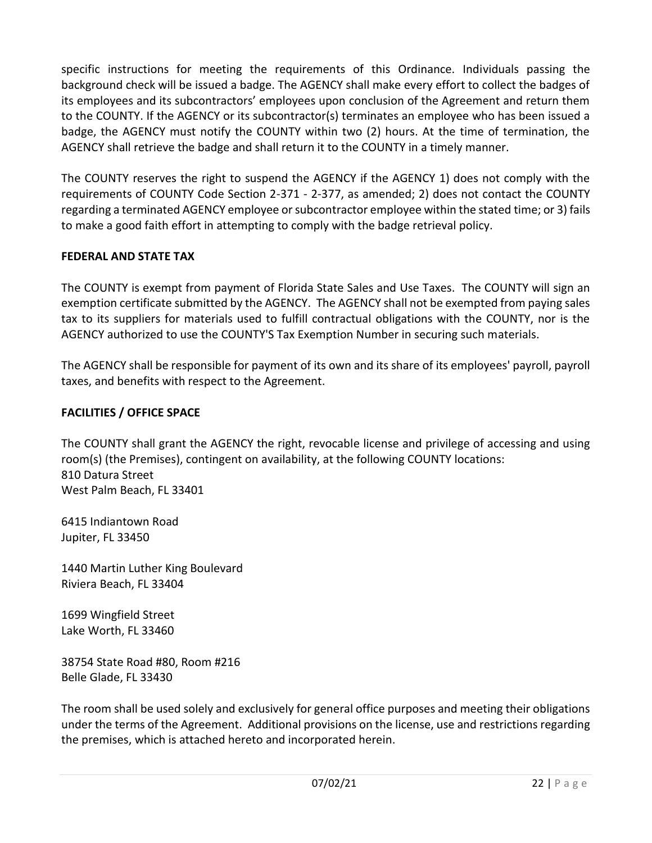specific instructions for meeting the requirements of this Ordinance. Individuals passing the background check will be issued a badge. The AGENCY shall make every effort to collect the badges of its employees and its subcontractors' employees upon conclusion of the Agreement and return them to the COUNTY. If the AGENCY or its subcontractor(s) terminates an employee who has been issued a badge, the AGENCY must notify the COUNTY within two (2) hours. At the time of termination, the AGENCY shall retrieve the badge and shall return it to the COUNTY in a timely manner.

The COUNTY reserves the right to suspend the AGENCY if the AGENCY 1) does not comply with the requirements of COUNTY Code Section 2-371 - 2-377, as amended; 2) does not contact the COUNTY regarding a terminated AGENCY employee or subcontractor employee within the stated time; or 3) fails to make a good faith effort in attempting to comply with the badge retrieval policy.

### **FEDERAL AND STATE TAX**

The COUNTY is exempt from payment of Florida State Sales and Use Taxes. The COUNTY will sign an exemption certificate submitted by the AGENCY. The AGENCY shall not be exempted from paying sales tax to its suppliers for materials used to fulfill contractual obligations with the COUNTY, nor is the AGENCY authorized to use the COUNTY'S Tax Exemption Number in securing such materials.

The AGENCY shall be responsible for payment of its own and its share of its employees' payroll, payroll taxes, and benefits with respect to the Agreement.

## **FACILITIES / OFFICE SPACE**

The COUNTY shall grant the AGENCY the right, revocable license and privilege of accessing and using room(s) (the Premises), contingent on availability, at the following COUNTY locations: 810 Datura Street West Palm Beach, FL 33401

6415 Indiantown Road Jupiter, FL 33450

1440 Martin Luther King Boulevard Riviera Beach, FL 33404

1699 Wingfield Street Lake Worth, FL 33460

38754 State Road #80, Room #216 Belle Glade, FL 33430

The room shall be used solely and exclusively for general office purposes and meeting their obligations under the terms of the Agreement. Additional provisions on the license, use and restrictions regarding the premises, which is attached hereto and incorporated herein.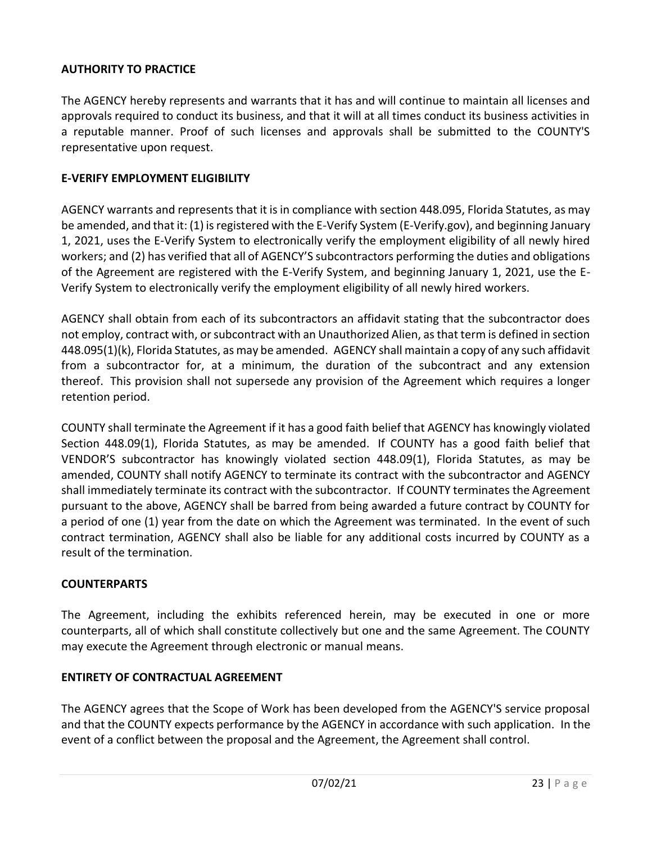### **AUTHORITY TO PRACTICE**

The AGENCY hereby represents and warrants that it has and will continue to maintain all licenses and approvals required to conduct its business, and that it will at all times conduct its business activities in a reputable manner. Proof of such licenses and approvals shall be submitted to the COUNTY'S representative upon request.

#### **E-VERIFY EMPLOYMENT ELIGIBILITY**

AGENCY warrants and represents that it is in compliance with section 448.095, Florida Statutes, as may be amended, and that it: (1) is registered with the E-Verify System (E-Verify.gov), and beginning January 1, 2021, uses the E-Verify System to electronically verify the employment eligibility of all newly hired workers; and (2) has verified that all of AGENCY'S subcontractors performing the duties and obligations of the Agreement are registered with the E-Verify System, and beginning January 1, 2021, use the E-Verify System to electronically verify the employment eligibility of all newly hired workers.

AGENCY shall obtain from each of its subcontractors an affidavit stating that the subcontractor does not employ, contract with, or subcontract with an Unauthorized Alien, as that term is defined in section 448.095(1)(k), Florida Statutes, as may be amended. AGENCY shall maintain a copy of any such affidavit from a subcontractor for, at a minimum, the duration of the subcontract and any extension thereof. This provision shall not supersede any provision of the Agreement which requires a longer retention period.

COUNTY shall terminate the Agreement if it has a good faith belief that AGENCY has knowingly violated Section 448.09(1), Florida Statutes, as may be amended. If COUNTY has a good faith belief that VENDOR'S subcontractor has knowingly violated section 448.09(1), Florida Statutes, as may be amended, COUNTY shall notify AGENCY to terminate its contract with the subcontractor and AGENCY shall immediately terminate its contract with the subcontractor. If COUNTY terminates the Agreement pursuant to the above, AGENCY shall be barred from being awarded a future contract by COUNTY for a period of one (1) year from the date on which the Agreement was terminated. In the event of such contract termination, AGENCY shall also be liable for any additional costs incurred by COUNTY as a result of the termination.

#### **COUNTERPARTS**

The Agreement, including the exhibits referenced herein, may be executed in one or more counterparts, all of which shall constitute collectively but one and the same Agreement. The COUNTY may execute the Agreement through electronic or manual means.

#### **ENTIRETY OF CONTRACTUAL AGREEMENT**

The AGENCY agrees that the Scope of Work has been developed from the AGENCY'S service proposal and that the COUNTY expects performance by the AGENCY in accordance with such application. In the event of a conflict between the proposal and the Agreement, the Agreement shall control.